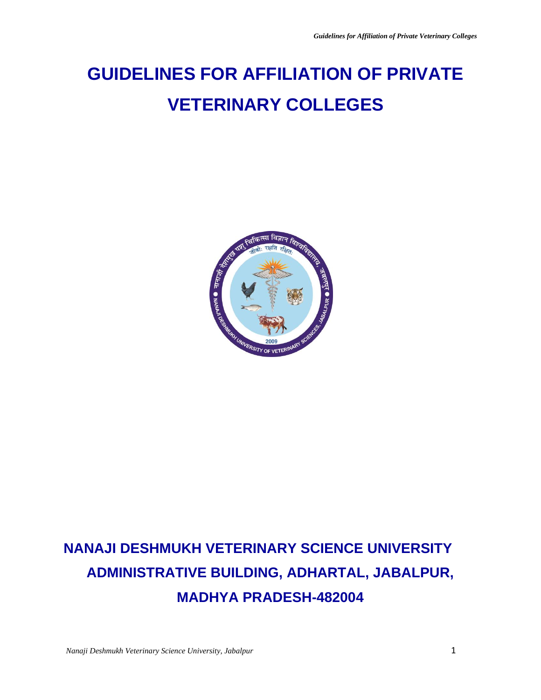# **GUIDELINES FOR AFFILIATION OF PRIVATE VETERINARY COLLEGES**



## **NANAJI DESHMUKH VETERINARY SCIENCE UNIVERSITY ADMINISTRATIVE BUILDING, ADHARTAL, JABALPUR, MADHYA PRADESH-482004**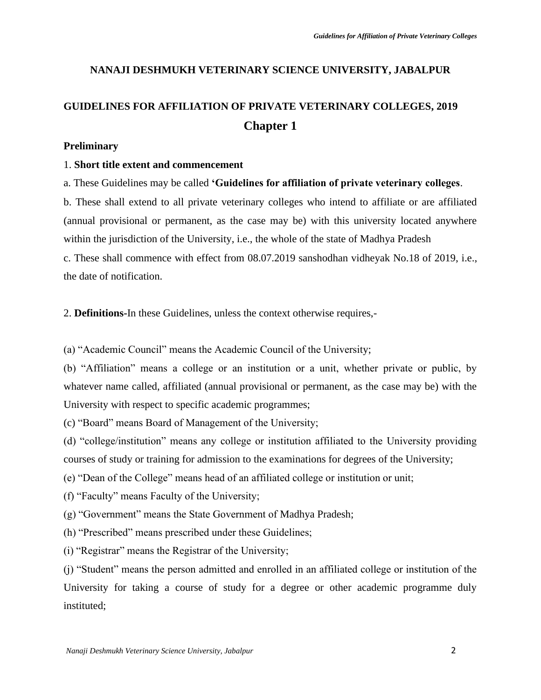#### **NANAJI DESHMUKH VETERINARY SCIENCE UNIVERSITY, JABALPUR**

## **GUIDELINES FOR AFFILIATION OF PRIVATE VETERINARY COLLEGES, 2019 Chapter 1**

#### **Preliminary**

#### 1. **Short title extent and commencement**

a. These Guidelines may be called **'Guidelines for affiliation of private veterinary colleges**.

b. These shall extend to all private veterinary colleges who intend to affiliate or are affiliated (annual provisional or permanent, as the case may be) with this university located anywhere within the jurisdiction of the University, i.e., the whole of the state of Madhya Pradesh c. These shall commence with effect from 08.07.2019 sanshodhan vidheyak No.18 of 2019, i.e.,

the date of notification.

2. **Definitions-**In these Guidelines, unless the context otherwise requires,-

(a) "Academic Council" means the Academic Council of the University;

(b) "Affiliation" means a college or an institution or a unit, whether private or public, by whatever name called, affiliated (annual provisional or permanent, as the case may be) with the University with respect to specific academic programmes;

(c) "Board" means Board of Management of the University;

(d) "college/institution" means any college or institution affiliated to the University providing courses of study or training for admission to the examinations for degrees of the University;

(e) "Dean of the College" means head of an affiliated college or institution or unit;

(f) "Faculty" means Faculty of the University;

(g) "Government" means the State Government of Madhya Pradesh;

(h) "Prescribed" means prescribed under these Guidelines;

(i) "Registrar" means the Registrar of the University;

(j) "Student" means the person admitted and enrolled in an affiliated college or institution of the University for taking a course of study for a degree or other academic programme duly instituted;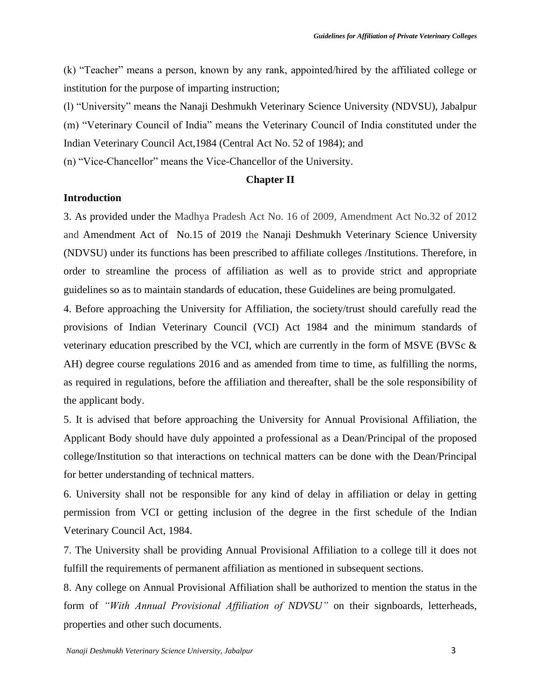(k) "Teacher" means a person, known by any rank, appointed/hired by the affiliated college or institution for the purpose of imparting instruction;

(l) "University" means the Nanaji Deshmukh Veterinary Science University (NDVSU), Jabalpur (m) "Veterinary Council of India" means the Veterinary Council of India constituted under the Indian Veterinary Council Act,1984 (Central Act No. 52 of 1984); and

(n) "Vice-Chancellor" means the Vice-Chancellor of the University.

#### **Chapter II**

#### **Introduction**

3. As provided under the Madhya Pradesh Act No. 16 of 2009, Amendment Act No.32 of 2012 and Amendment Act of No.15 of 2019 the Nanaji Deshmukh Veterinary Science University (NDVSU) under its functions has been prescribed to affiliate colleges /Institutions. Therefore, in order to streamline the process of affiliation as well as to provide strict and appropriate guidelines so as to maintain standards of education, these Guidelines are being promulgated.

4. Before approaching the University for Affiliation, the society/trust should carefully read the provisions of Indian Veterinary Council (VCI) Act 1984 and the minimum standards of veterinary education prescribed by the VCI, which are currently in the form of MSVE (BVSc & AH) degree course regulations 2016 and as amended from time to time, as fulfilling the norms, as required in regulations, before the affiliation and thereafter, shall be the sole responsibility of the applicant body.

5. It is advised that before approaching the University for Annual Provisional Affiliation, the Applicant Body should have duly appointed a professional as a Dean/Principal of the proposed college/Institution so that interactions on technical matters can be done with the Dean/Principal for better understanding of technical matters.

6. University shall not be responsible for any kind of delay in affiliation or delay in getting permission from VCI or getting inclusion of the degree in the first schedule of the Indian Veterinary Council Act, 1984.

7. The University shall be providing Annual Provisional Affiliation to a college till it does not fulfill the requirements of permanent affiliation as mentioned in subsequent sections.

8. Any college on Annual Provisional Affiliation shall be authorized to mention the status in the form of *"With Annual Provisional Affiliation of NDVSU"* on their signboards, letterheads, properties and other such documents.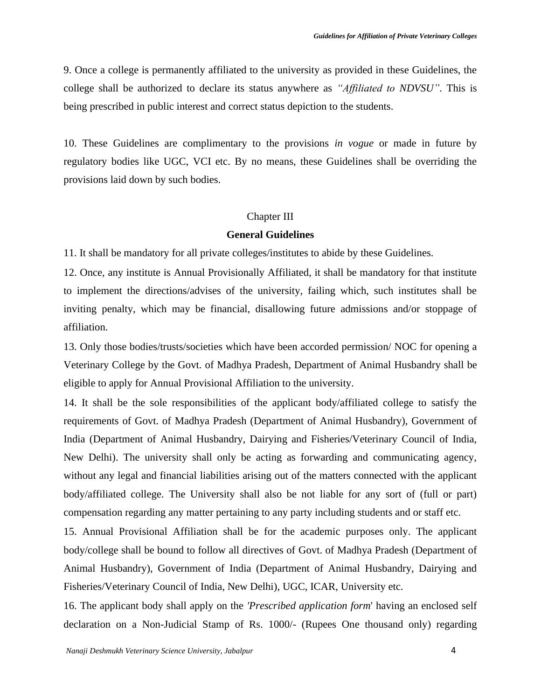9. Once a college is permanently affiliated to the university as provided in these Guidelines, the college shall be authorized to declare its status anywhere as *"Affiliated to NDVSU"*. This is being prescribed in public interest and correct status depiction to the students.

10. These Guidelines are complimentary to the provisions *in vogue* or made in future by regulatory bodies like UGC, VCI etc. By no means, these Guidelines shall be overriding the provisions laid down by such bodies.

#### Chapter III

#### **General Guidelines**

11. It shall be mandatory for all private colleges/institutes to abide by these Guidelines.

12. Once, any institute is Annual Provisionally Affiliated, it shall be mandatory for that institute to implement the directions/advises of the university, failing which, such institutes shall be inviting penalty, which may be financial, disallowing future admissions and/or stoppage of affiliation.

13. Only those bodies/trusts/societies which have been accorded permission/ NOC for opening a Veterinary College by the Govt. of Madhya Pradesh, Department of Animal Husbandry shall be eligible to apply for Annual Provisional Affiliation to the university.

14. It shall be the sole responsibilities of the applicant body/affiliated college to satisfy the requirements of Govt. of Madhya Pradesh (Department of Animal Husbandry), Government of India (Department of Animal Husbandry, Dairying and Fisheries/Veterinary Council of India, New Delhi). The university shall only be acting as forwarding and communicating agency, without any legal and financial liabilities arising out of the matters connected with the applicant body/affiliated college. The University shall also be not liable for any sort of (full or part) compensation regarding any matter pertaining to any party including students and or staff etc.

15. Annual Provisional Affiliation shall be for the academic purposes only. The applicant body/college shall be bound to follow all directives of Govt. of Madhya Pradesh (Department of Animal Husbandry), Government of India (Department of Animal Husbandry, Dairying and Fisheries/Veterinary Council of India, New Delhi), UGC, ICAR, University etc.

16. The applicant body shall apply on the *'Prescribed application form*' having an enclosed self declaration on a Non-Judicial Stamp of Rs. 1000/- (Rupees One thousand only) regarding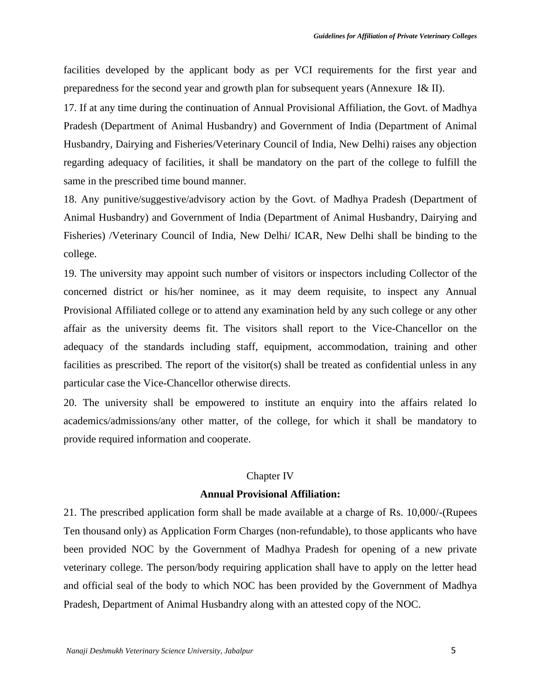facilities developed by the applicant body as per VCI requirements for the first year and preparedness for the second year and growth plan for subsequent years (Annexure I& II).

17. If at any time during the continuation of Annual Provisional Affiliation, the Govt. of Madhya Pradesh (Department of Animal Husbandry) and Government of India (Department of Animal Husbandry, Dairying and Fisheries/Veterinary Council of India, New Delhi) raises any objection regarding adequacy of facilities, it shall be mandatory on the part of the college to fulfill the same in the prescribed time bound manner.

18. Any punitive/suggestive/advisory action by the Govt. of Madhya Pradesh (Department of Animal Husbandry) and Government of India (Department of Animal Husbandry, Dairying and Fisheries) /Veterinary Council of India, New Delhi/ ICAR, New Delhi shall be binding to the college.

19. The university may appoint such number of visitors or inspectors including Collector of the concerned district or his/her nominee, as it may deem requisite, to inspect any Annual Provisional Affiliated college or to attend any examination held by any such college or any other affair as the university deems fit. The visitors shall report to the Vice-Chancellor on the adequacy of the standards including staff, equipment, accommodation, training and other facilities as prescribed. The report of the visitor(s) shall be treated as confidential unless in any particular case the Vice-Chancellor otherwise directs.

20. The university shall be empowered to institute an enquiry into the affairs related lo academics/admissions/any other matter, of the college, for which it shall be mandatory to provide required information and cooperate.

#### Chapter IV

#### **Annual Provisional Affiliation:**

21. The prescribed application form shall be made available at a charge of Rs. 10,000/-(Rupees Ten thousand only) as Application Form Charges (non-refundable), to those applicants who have been provided NOC by the Government of Madhya Pradesh for opening of a new private veterinary college. The person/body requiring application shall have to apply on the letter head and official seal of the body to which NOC has been provided by the Government of Madhya Pradesh, Department of Animal Husbandry along with an attested copy of the NOC.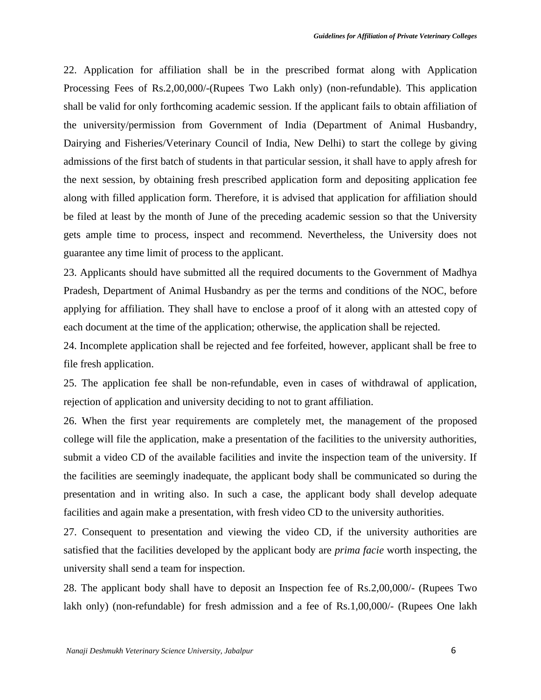22. Application for affiliation shall be in the prescribed format along with Application Processing Fees of Rs.2,00,000/-(Rupees Two Lakh only) (non-refundable). This application shall be valid for only forthcoming academic session. If the applicant fails to obtain affiliation of the university/permission from Government of India (Department of Animal Husbandry, Dairying and Fisheries/Veterinary Council of India, New Delhi) to start the college by giving admissions of the first batch of students in that particular session, it shall have to apply afresh for the next session, by obtaining fresh prescribed application form and depositing application fee along with filled application form. Therefore, it is advised that application for affiliation should be filed at least by the month of June of the preceding academic session so that the University gets ample time to process, inspect and recommend. Nevertheless, the University does not guarantee any time limit of process to the applicant.

23. Applicants should have submitted all the required documents to the Government of Madhya Pradesh, Department of Animal Husbandry as per the terms and conditions of the NOC, before applying for affiliation. They shall have to enclose a proof of it along with an attested copy of each document at the time of the application; otherwise, the application shall be rejected.

24. Incomplete application shall be rejected and fee forfeited, however, applicant shall be free to file fresh application.

25. The application fee shall be non-refundable, even in cases of withdrawal of application, rejection of application and university deciding to not to grant affiliation.

26. When the first year requirements are completely met, the management of the proposed college will file the application, make a presentation of the facilities to the university authorities, submit a video CD of the available facilities and invite the inspection team of the university. If the facilities are seemingly inadequate, the applicant body shall be communicated so during the presentation and in writing also. In such a case, the applicant body shall develop adequate facilities and again make a presentation, with fresh video CD to the university authorities.

27. Consequent to presentation and viewing the video CD, if the university authorities are satisfied that the facilities developed by the applicant body are *prima facie* worth inspecting, the university shall send a team for inspection.

28. The applicant body shall have to deposit an Inspection fee of Rs.2,00,000/- (Rupees Two lakh only) (non-refundable) for fresh admission and a fee of Rs.1,00,000/- (Rupees One lakh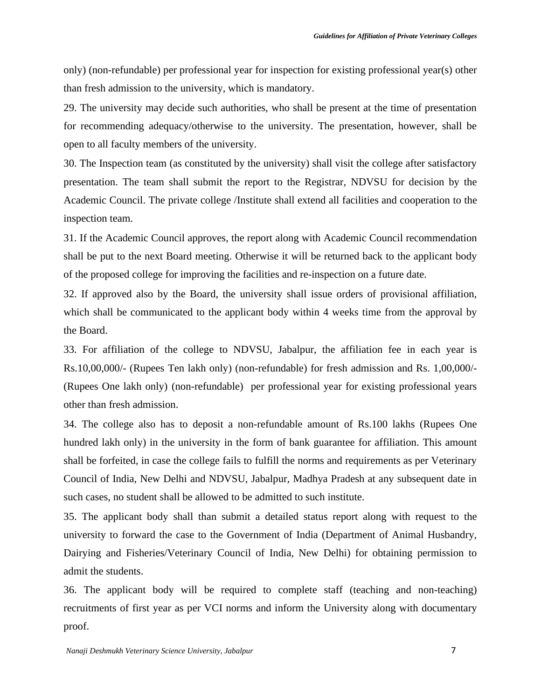only) (non-refundable) per professional year for inspection for existing professional year(s) other than fresh admission to the university, which is mandatory.

29. The university may decide such authorities, who shall be present at the time of presentation for recommending adequacy/otherwise to the university. The presentation, however, shall be open to all faculty members of the university.

30. The Inspection team (as constituted by the university) shall visit the college after satisfactory presentation. The team shall submit the report to the Registrar, NDVSU for decision by the Academic Council. The private college /Institute shall extend all facilities and cooperation to the inspection team.

31. If the Academic Council approves, the report along with Academic Council recommendation shall be put to the next Board meeting. Otherwise it will be returned back to the applicant body of the proposed college for improving the facilities and re-inspection on a future date.

32. If approved also by the Board, the university shall issue orders of provisional affiliation, which shall be communicated to the applicant body within 4 weeks time from the approval by the Board.

33. For affiliation of the college to NDVSU, Jabalpur, the affiliation fee in each year is Rs.10,00,000/- (Rupees Ten lakh only) (non-refundable) for fresh admission and Rs. 1,00,000/- (Rupees One lakh only) (non-refundable) per professional year for existing professional years other than fresh admission.

34. The college also has to deposit a non-refundable amount of Rs.100 lakhs (Rupees One hundred lakh only) in the university in the form of bank guarantee for affiliation. This amount shall be forfeited, in case the college fails to fulfill the norms and requirements as per Veterinary Council of India, New Delhi and NDVSU, Jabalpur, Madhya Pradesh at any subsequent date in such cases, no student shall be allowed to be admitted to such institute.

35. The applicant body shall than submit a detailed status report along with request to the university to forward the case to the Government of India (Department of Animal Husbandry, Dairying and Fisheries/Veterinary Council of India, New Delhi) for obtaining permission to admit the students.

36. The applicant body will be required to complete staff (teaching and non-teaching) recruitments of first year as per VCI norms and inform the University along with documentary proof.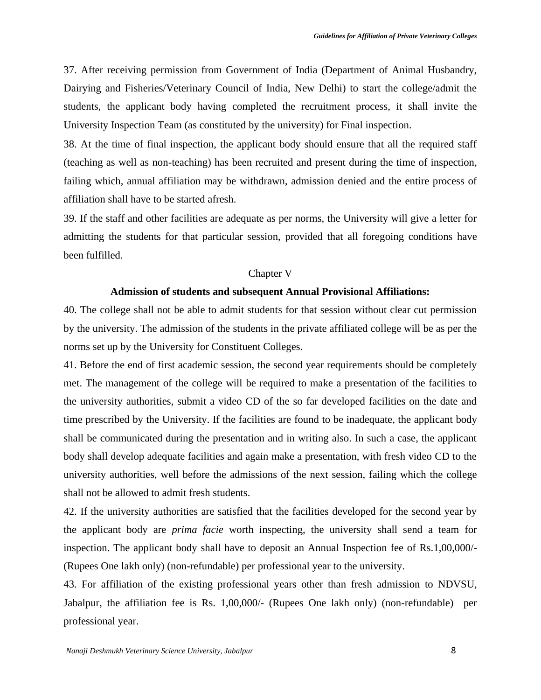37. After receiving permission from Government of India (Department of Animal Husbandry, Dairying and Fisheries/Veterinary Council of India, New Delhi) to start the college/admit the students, the applicant body having completed the recruitment process, it shall invite the University Inspection Team (as constituted by the university) for Final inspection.

38. At the time of final inspection, the applicant body should ensure that all the required staff (teaching as well as non-teaching) has been recruited and present during the time of inspection, failing which, annual affiliation may be withdrawn, admission denied and the entire process of affiliation shall have to be started afresh.

39. If the staff and other facilities are adequate as per norms, the University will give a letter for admitting the students for that particular session, provided that all foregoing conditions have been fulfilled.

#### Chapter V

#### **Admission of students and subsequent Annual Provisional Affiliations:**

40. The college shall not be able to admit students for that session without clear cut permission by the university. The admission of the students in the private affiliated college will be as per the norms set up by the University for Constituent Colleges.

41. Before the end of first academic session, the second year requirements should be completely met. The management of the college will be required to make a presentation of the facilities to the university authorities, submit a video CD of the so far developed facilities on the date and time prescribed by the University. If the facilities are found to be inadequate, the applicant body shall be communicated during the presentation and in writing also. In such a case, the applicant body shall develop adequate facilities and again make a presentation, with fresh video CD to the university authorities, well before the admissions of the next session, failing which the college shall not be allowed to admit fresh students.

42. If the university authorities are satisfied that the facilities developed for the second year by the applicant body are *prima facie* worth inspecting, the university shall send a team for inspection. The applicant body shall have to deposit an Annual Inspection fee of Rs.1,00,000/- (Rupees One lakh only) (non-refundable) per professional year to the university.

43. For affiliation of the existing professional years other than fresh admission to NDVSU, Jabalpur, the affiliation fee is Rs. 1,00,000/- (Rupees One lakh only) (non-refundable) per professional year.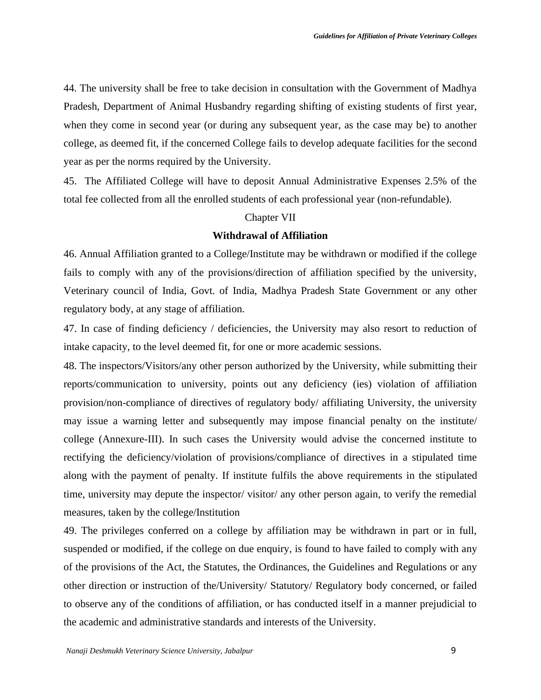44. The university shall be free to take decision in consultation with the Government of Madhya Pradesh, Department of Animal Husbandry regarding shifting of existing students of first year, when they come in second year (or during any subsequent year, as the case may be) to another college, as deemed fit, if the concerned College fails to develop adequate facilities for the second year as per the norms required by the University.

45. The Affiliated College will have to deposit Annual Administrative Expenses 2.5% of the total fee collected from all the enrolled students of each professional year (non-refundable).

#### Chapter VII

#### **Withdrawal of Affiliation**

46. Annual Affiliation granted to a College/Institute may be withdrawn or modified if the college fails to comply with any of the provisions/direction of affiliation specified by the university, Veterinary council of India, Govt. of India, Madhya Pradesh State Government or any other regulatory body, at any stage of affiliation.

47. In case of finding deficiency / deficiencies, the University may also resort to reduction of intake capacity, to the level deemed fit, for one or more academic sessions.

48. The inspectors/Visitors/any other person authorized by the University, while submitting their reports/communication to university, points out any deficiency (ies) violation of affiliation provision/non-compliance of directives of regulatory body/ affiliating University, the university may issue a warning letter and subsequently may impose financial penalty on the institute/ college (Annexure-III). In such cases the University would advise the concerned institute to rectifying the deficiency/violation of provisions/compliance of directives in a stipulated time along with the payment of penalty. If institute fulfils the above requirements in the stipulated time, university may depute the inspector/ visitor/ any other person again, to verify the remedial measures, taken by the college/Institution

49. The privileges conferred on a college by affiliation may be withdrawn in part or in full, suspended or modified, if the college on due enquiry, is found to have failed to comply with any of the provisions of the Act, the Statutes, the Ordinances, the Guidelines and Regulations or any other direction or instruction of the/University/ Statutory/ Regulatory body concerned, or failed to observe any of the conditions of affiliation, or has conducted itself in a manner prejudicial to the academic and administrative standards and interests of the University.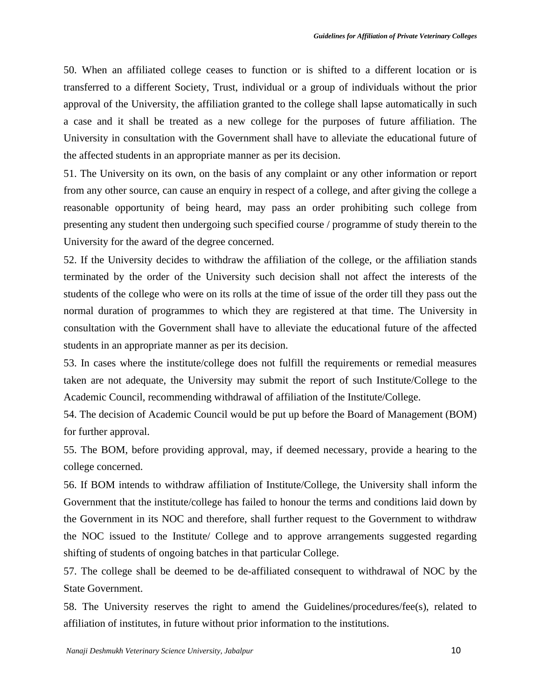50. When an affiliated college ceases to function or is shifted to a different location or is transferred to a different Society, Trust, individual or a group of individuals without the prior approval of the University, the affiliation granted to the college shall lapse automatically in such a case and it shall be treated as a new college for the purposes of future affiliation. The University in consultation with the Government shall have to alleviate the educational future of the affected students in an appropriate manner as per its decision.

51. The University on its own, on the basis of any complaint or any other information or report from any other source, can cause an enquiry in respect of a college, and after giving the college a reasonable opportunity of being heard, may pass an order prohibiting such college from presenting any student then undergoing such specified course / programme of study therein to the University for the award of the degree concerned.

52. If the University decides to withdraw the affiliation of the college, or the affiliation stands terminated by the order of the University such decision shall not affect the interests of the students of the college who were on its rolls at the time of issue of the order till they pass out the normal duration of programmes to which they are registered at that time. The University in consultation with the Government shall have to alleviate the educational future of the affected students in an appropriate manner as per its decision.

53. In cases where the institute/college does not fulfill the requirements or remedial measures taken are not adequate, the University may submit the report of such Institute/College to the Academic Council, recommending withdrawal of affiliation of the Institute/College.

54. The decision of Academic Council would be put up before the Board of Management (BOM) for further approval.

55. The BOM, before providing approval, may, if deemed necessary, provide a hearing to the college concerned.

56. If BOM intends to withdraw affiliation of Institute/College, the University shall inform the Government that the institute/college has failed to honour the terms and conditions laid down by the Government in its NOC and therefore, shall further request to the Government to withdraw the NOC issued to the Institute/ College and to approve arrangements suggested regarding shifting of students of ongoing batches in that particular College.

57. The college shall be deemed to be de-affiliated consequent to withdrawal of NOC by the State Government.

58. The University reserves the right to amend the Guidelines/procedures/fee(s), related to affiliation of institutes, in future without prior information to the institutions.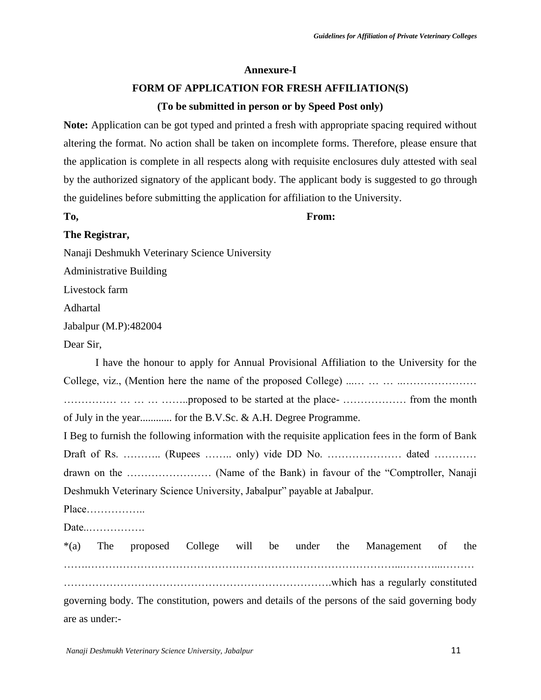#### **Annexure-I**

#### **FORM OF APPLICATION FOR FRESH AFFILIATION(S)**

#### **(To be submitted in person or by Speed Post only)**

**Note:** Application can be got typed and printed a fresh with appropriate spacing required without altering the format. No action shall be taken on incomplete forms. Therefore, please ensure that the application is complete in all respects along with requisite enclosures duly attested with seal by the authorized signatory of the applicant body. The applicant body is suggested to go through the guidelines before submitting the application for affiliation to the University.

#### **To, From:**

#### **The Registrar,**

Nanaji Deshmukh Veterinary Science University

Administrative Building

Livestock farm

Adhartal

Jabalpur (M.P):482004

Dear Sir,

I have the honour to apply for Annual Provisional Affiliation to the University for the College, viz., (Mention here the name of the proposed College) ...… … … ..………………… …………… … … … ……..proposed to be started at the place- ……………… from the month of July in the year............ for the B.V.Sc. & A.H. Degree Programme. I Beg to furnish the following information with the requisite application fees in the form of Bank Draft of Rs. …………. (Rupees ………. only) vide DD No. ………………………… dated …………. drawn on the …………………… (Name of the Bank) in favour of the "Comptroller, Nanaji Deshmukh Veterinary Science University, Jabalpur" payable at Jabalpur. Place…………….. Date..……………. \*(a) The proposed College will be under the Management of the …….……………………………………………………………………………...………...……… ………………………………………………………………….which has a regularly constituted governing body. The constitution, powers and details of the persons of the said governing body are as under:-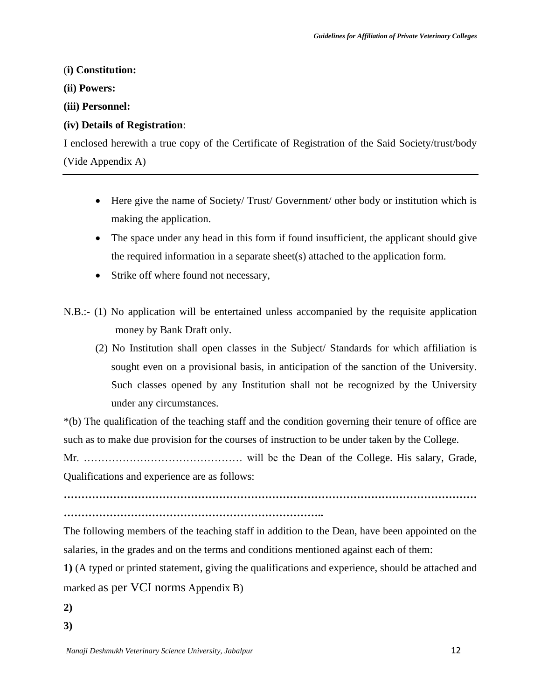#### (**i) Constitution:**

**(ii) Powers:** 

**(iii) Personnel:** 

#### **(iv) Details of Registration**:

I enclosed herewith a true copy of the Certificate of Registration of the Said Society/trust/body (Vide Appendix A)

- Here give the name of Society/Trust/Government/ other body or institution which is making the application.
- The space under any head in this form if found insufficient, the applicant should give the required information in a separate sheet(s) attached to the application form.
- Strike off where found not necessary,
- N.B.:- (1) No application will be entertained unless accompanied by the requisite application money by Bank Draft only.
	- (2) No Institution shall open classes in the Subject/ Standards for which affiliation is sought even on a provisional basis, in anticipation of the sanction of the University. Such classes opened by any Institution shall not be recognized by the University under any circumstances.

\*(b) The qualification of the teaching staff and the condition governing their tenure of office are such as to make due provision for the courses of instruction to be under taken by the College.

Mr. ……………………………………… will be the Dean of the College. His salary, Grade, Qualifications and experience are as follows:

**……………………………………………………………………………………………………… ………………………………………………………………..** 

The following members of the teaching staff in addition to the Dean, have been appointed on the salaries, in the grades and on the terms and conditions mentioned against each of them:

**1)** (A typed or printed statement, giving the qualifications and experience, should be attached and marked as per VCI norms Appendix B)

- **2)**
- **3)**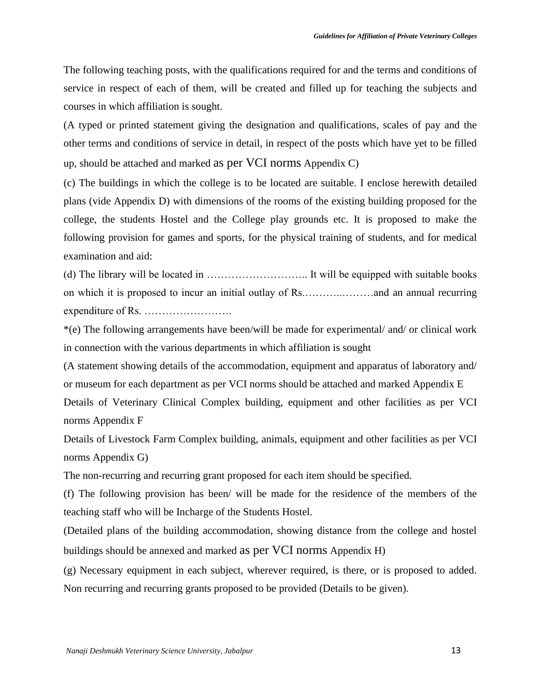The following teaching posts, with the qualifications required for and the terms and conditions of service in respect of each of them, will be created and filled up for teaching the subjects and courses in which affiliation is sought.

(A typed or printed statement giving the designation and qualifications, scales of pay and the other terms and conditions of service in detail, in respect of the posts which have yet to be filled up, should be attached and marked as per VCI norms Appendix C)

(c) The buildings in which the college is to be located are suitable. I enclose herewith detailed plans (vide Appendix D) with dimensions of the rooms of the existing building proposed for the college, the students Hostel and the College play grounds etc. It is proposed to make the following provision for games and sports, for the physical training of students, and for medical examination and aid:

(d) The library will be located in ……………………….. It will be equipped with suitable books on which it is proposed to incur an initial outlay of Rs.………..………and an annual recurring expenditure of Rs. …………………….

\*(e) The following arrangements have been/will be made for experimental/ and/ or clinical work in connection with the various departments in which affiliation is sought

(A statement showing details of the accommodation, equipment and apparatus of laboratory and/ or museum for each department as per VCI norms should be attached and marked Appendix E Details of Veterinary Clinical Complex building, equipment and other facilities as per VCI norms Appendix F

Details of Livestock Farm Complex building, animals, equipment and other facilities as per VCI norms Appendix G)

The non-recurring and recurring grant proposed for each item should be specified.

(f) The following provision has been/ will be made for the residence of the members of the teaching staff who will be Incharge of the Students Hostel.

(Detailed plans of the building accommodation, showing distance from the college and hostel buildings should be annexed and marked as per VCI norms Appendix H)

(g) Necessary equipment in each subject, wherever required, is there, or is proposed to added. Non recurring and recurring grants proposed to be provided (Details to be given).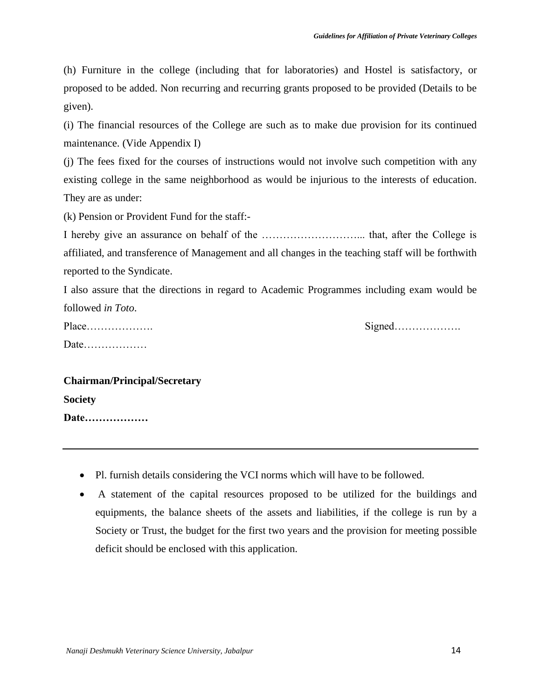(h) Furniture in the college (including that for laboratories) and Hostel is satisfactory, or proposed to be added. Non recurring and recurring grants proposed to be provided (Details to be given).

(i) The financial resources of the College are such as to make due provision for its continued maintenance. (Vide Appendix I)

(j) The fees fixed for the courses of instructions would not involve such competition with any existing college in the same neighborhood as would be injurious to the interests of education. They are as under:

(k) Pension or Provident Fund for the staff:-

I hereby give an assurance on behalf of the ………………………... that, after the College is affiliated, and transference of Management and all changes in the teaching staff will be forthwith reported to the Syndicate.

I also assure that the directions in regard to Academic Programmes including exam would be followed *in Toto*.

| Date |  |
|------|--|

Place………………. Signed……………….

## **Chairman/Principal/Secretary Society**

**Date………………** 

- Pl. furnish details considering the VCI norms which will have to be followed.
- A statement of the capital resources proposed to be utilized for the buildings and equipments, the balance sheets of the assets and liabilities, if the college is run by a Society or Trust, the budget for the first two years and the provision for meeting possible deficit should be enclosed with this application.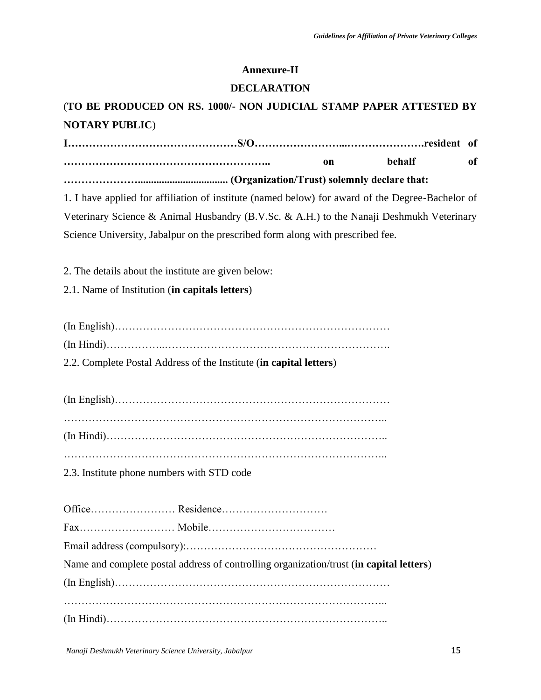#### **Annexure-II**

#### **DECLARATION**

## (**TO BE PRODUCED ON RS. 1000/- NON JUDICIAL STAMP PAPER ATTESTED BY NOTARY PUBLIC**)

**I…………………………………………S/O……………………...………………….resident of ………………………………………………….. on behalf of ………………….................................. (Organization/Trust) solemnly declare that:**  1. I have applied for affiliation of institute (named below) for award of the Degree-Bachelor of Veterinary Science & Animal Husbandry (B.V.Sc. & A.H.) to the Nanaji Deshmukh Veterinary Science University, Jabalpur on the prescribed form along with prescribed fee. 2. The details about the institute are given below: 2.1. Name of Institution (**in capitals letters**) (In English)…………………………………………………………………… (In Hindi)……………..………………………………………………………. 2.2. Complete Postal Address of the Institute (**in capital letters**) (In English)…………………………………………………………………… ……………………………………………………………………………….. (In Hindi)…………………………………………………………………….. ……………………………………………………………………………….. 2.3. Institute phone numbers with STD code Office…………………… Residence………………………… Fax……………………… Mobile……………………………… Email address (compulsory):……………………………………………… Name and complete postal address of controlling organization/trust (**in capital letters**) (In English)…………………………………………………………………… ……………………………………………………………………………….. (In Hindi)……………………………………………………………………..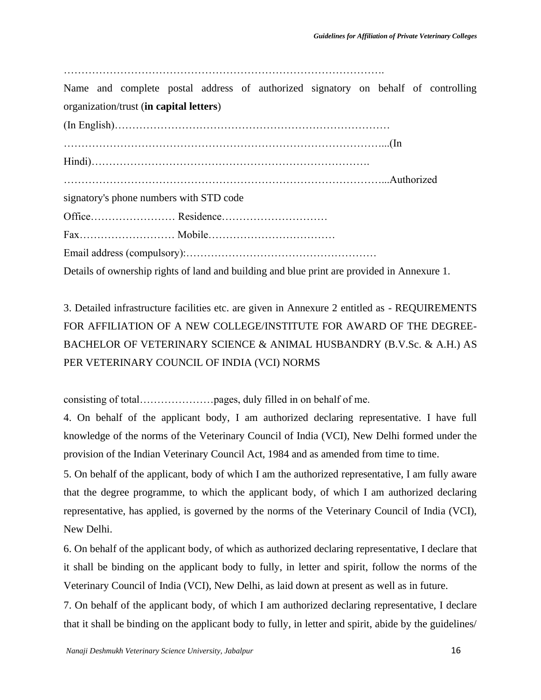……………………………………………………………………………….

Name and complete postal address of authorized signatory on behalf of controlling organization/trust (**in capital letters**)

(In English)…………………………………………………………………… ………………………………………………………………………………...(In Hindi)……………………………………………………………………. ………………………………………………………………………………...Authorized signatory's phone numbers with STD code Office…………………… Residence………………………… Fax……………………… Mobile……………………………… Email address (compulsory):……………………………………………… Details of ownership rights of land and building and blue print are provided in Annexure 1.

3. Detailed infrastructure facilities etc. are given in Annexure 2 entitled as - REQUIREMENTS FOR AFFILIATION OF A NEW COLLEGE/INSTITUTE FOR AWARD OF THE DEGREE-BACHELOR OF VETERINARY SCIENCE & ANIMAL HUSBANDRY (B.V.Sc. & A.H.) AS PER VETERINARY COUNCIL OF INDIA (VCI) NORMS

consisting of total…………………pages, duly filled in on behalf of me.

4. On behalf of the applicant body, I am authorized declaring representative. I have full knowledge of the norms of the Veterinary Council of India (VCI), New Delhi formed under the provision of the Indian Veterinary Council Act, 1984 and as amended from time to time.

5. On behalf of the applicant, body of which I am the authorized representative, I am fully aware that the degree programme, to which the applicant body, of which I am authorized declaring representative, has applied, is governed by the norms of the Veterinary Council of India (VCI), New Delhi.

6. On behalf of the applicant body, of which as authorized declaring representative, I declare that it shall be binding on the applicant body to fully, in letter and spirit, follow the norms of the Veterinary Council of India (VCI), New Delhi, as laid down at present as well as in future.

7. On behalf of the applicant body, of which I am authorized declaring representative, I declare that it shall be binding on the applicant body to fully, in letter and spirit, abide by the guidelines/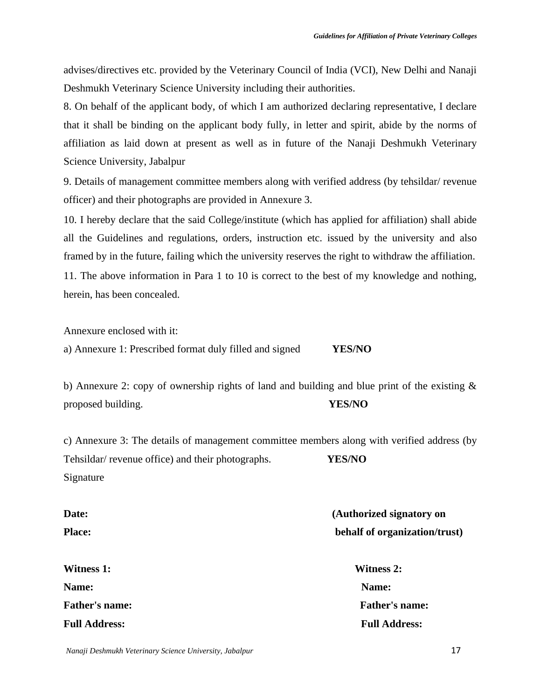advises/directives etc. provided by the Veterinary Council of India (VCI), New Delhi and Nanaji Deshmukh Veterinary Science University including their authorities.

8. On behalf of the applicant body, of which I am authorized declaring representative, I declare that it shall be binding on the applicant body fully, in letter and spirit, abide by the norms of affiliation as laid down at present as well as in future of the Nanaji Deshmukh Veterinary Science University, Jabalpur

9. Details of management committee members along with verified address (by tehsildar/ revenue officer) and their photographs are provided in Annexure 3.

10. I hereby declare that the said College/institute (which has applied for affiliation) shall abide all the Guidelines and regulations, orders, instruction etc. issued by the university and also framed by in the future, failing which the university reserves the right to withdraw the affiliation. 11. The above information in Para 1 to 10 is correct to the best of my knowledge and nothing,

herein, has been concealed.

Annexure enclosed with it:

a) Annexure 1: Prescribed format duly filled and signed **YES/NO** 

b) Annexure 2: copy of ownership rights of land and building and blue print of the existing  $\&$ proposed building. **YES/NO** 

c) Annexure 3: The details of management committee members along with verified address (by Tehsildar/ revenue office) and their photographs. **YES/NO**  Signature

| Date:                 | (Authorized signatory on      |  |
|-----------------------|-------------------------------|--|
| <b>Place:</b>         | behalf of organization/trust) |  |
| <b>Witness 1:</b>     | <b>Witness 2:</b>             |  |
| Name:                 | Name:                         |  |
| <b>Father's name:</b> | <b>Father's name:</b>         |  |
| <b>Full Address:</b>  | <b>Full Address:</b>          |  |

*Nanaji Deshmukh Veterinary Science University, Jabalpur* 17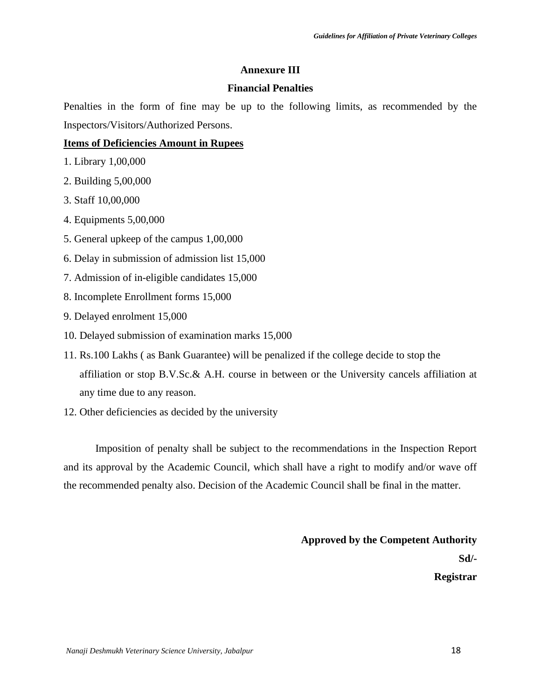#### **Annexure III**

#### **Financial Penalties**

Penalties in the form of fine may be up to the following limits, as recommended by the Inspectors/Visitors/Authorized Persons.

#### **Items of Deficiencies Amount in Rupees**

- 1. Library 1,00,000
- 2. Building 5,00,000
- 3. Staff 10,00,000
- 4. Equipments 5,00,000
- 5. General upkeep of the campus 1,00,000
- 6. Delay in submission of admission list 15,000
- 7. Admission of in-eligible candidates 15,000
- 8. Incomplete Enrollment forms 15,000
- 9. Delayed enrolment 15,000
- 10. Delayed submission of examination marks 15,000
- 11. Rs.100 Lakhs ( as Bank Guarantee) will be penalized if the college decide to stop the affiliation or stop B.V.Sc.& A.H. course in between or the University cancels affiliation at any time due to any reason.
- 12. Other deficiencies as decided by the university

Imposition of penalty shall be subject to the recommendations in the Inspection Report and its approval by the Academic Council, which shall have a right to modify and/or wave off the recommended penalty also. Decision of the Academic Council shall be final in the matter.

> **Approved by the Competent Authority Sd/- Registrar**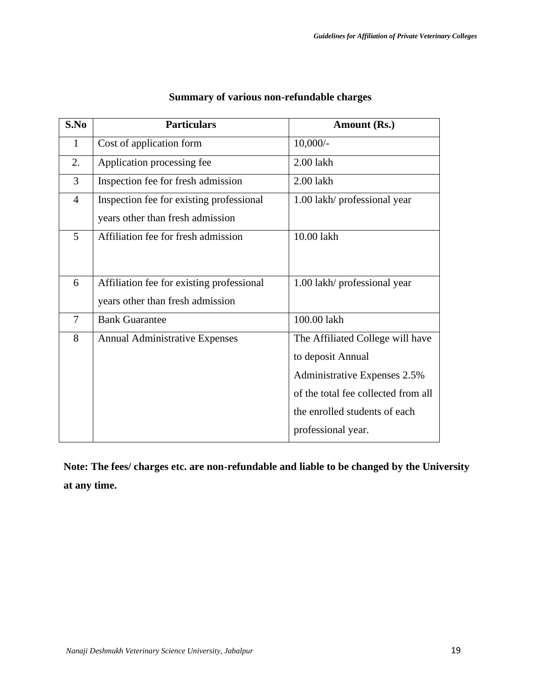| S.No           | <b>Particulars</b>                        | Amount (Rs.)                        |
|----------------|-------------------------------------------|-------------------------------------|
| 1              | Cost of application form                  | $10,000/-$                          |
| 2.             | Application processing fee                | 2.00 lakh                           |
| 3              | Inspection fee for fresh admission        | 2.00 lakh                           |
| $\overline{4}$ | Inspection fee for existing professional  | 1.00 lakh/ professional year        |
|                | years other than fresh admission          |                                     |
| 5              | Affiliation fee for fresh admission       | 10.00 lakh                          |
|                |                                           |                                     |
| 6              | Affiliation fee for existing professional | 1.00 lakh/ professional year        |
|                |                                           |                                     |
|                | years other than fresh admission          |                                     |
| $\overline{7}$ | <b>Bank Guarantee</b>                     | 100.00 lakh                         |
| 8              | <b>Annual Administrative Expenses</b>     | The Affiliated College will have    |
|                |                                           | to deposit Annual                   |
|                |                                           | Administrative Expenses 2.5%        |
|                |                                           | of the total fee collected from all |
|                |                                           | the enrolled students of each       |
|                |                                           | professional year.                  |

#### **Summary of various non-refundable charges**

**Note: The fees/ charges etc. are non-refundable and liable to be changed by the University at any time.**